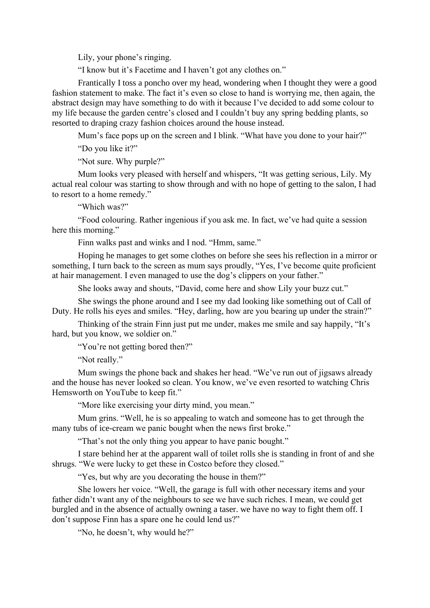Lily, your phone's ringing.

"I know but it's Facetime and I haven't got any clothes on."

Frantically I toss a poncho over my head, wondering when I thought they were a good fashion statement to make. The fact it's even so close to hand is worrying me, then again, the abstract design may have something to do with it because I've decided to add some colour to my life because the garden centre's closed and I couldn't buy any spring bedding plants, so resorted to draping crazy fashion choices around the house instead.

Mum's face pops up on the screen and I blink. "What have you done to your hair?" "Do you like it?"

"Not sure. Why purple?"

Mum looks very pleased with herself and whispers, "It was getting serious, Lily. My actual real colour was starting to show through and with no hope of getting to the salon, I had to resort to a home remedy."

"Which was?"

"Food colouring. Rather ingenious if you ask me. In fact, we've had quite a session here this morning."

Finn walks past and winks and I nod. "Hmm, same."

Hoping he manages to get some clothes on before she sees his reflection in a mirror or something, I turn back to the screen as mum says proudly, "Yes, I've become quite proficient at hair management. I even managed to use the dog's clippers on your father."

She looks away and shouts, "David, come here and show Lily your buzz cut."

She swings the phone around and I see my dad looking like something out of Call of Duty. He rolls his eyes and smiles. "Hey, darling, how are you bearing up under the strain?"

Thinking of the strain Finn just put me under, makes me smile and say happily, "It's hard, but you know, we soldier on."

"You're not getting bored then?"

"Not really."

Mum swings the phone back and shakes her head. "We've run out of jigsaws already and the house has never looked so clean. You know, we've even resorted to watching Chris Hemsworth on YouTube to keep fit."

"More like exercising your dirty mind, you mean."

Mum grins. "Well, he is so appealing to watch and someone has to get through the many tubs of ice-cream we panic bought when the news first broke."

"That's not the only thing you appear to have panic bought."

I stare behind her at the apparent wall of toilet rolls she is standing in front of and she shrugs. "We were lucky to get these in Costco before they closed."

"Yes, but why are you decorating the house in them?"

She lowers her voice. "Well, the garage is full with other necessary items and your father didn't want any of the neighbours to see we have such riches. I mean, we could get burgled and in the absence of actually owning a taser. we have no way to fight them off. I don't suppose Finn has a spare one he could lend us?"

"No, he doesn't, why would he?"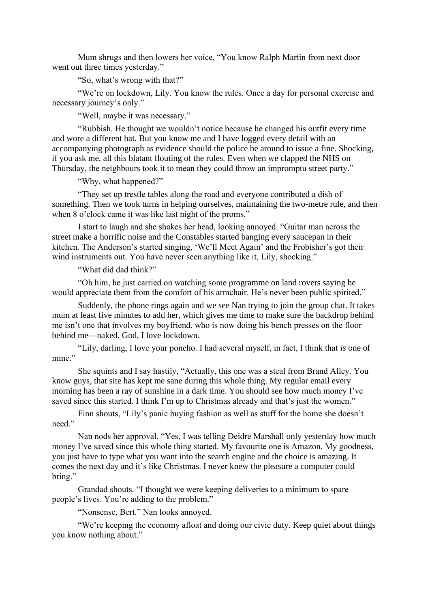Mum shrugs and then lowers her voice, "You know Ralph Martin from next door went out three times yesterday."

"So, what's wrong with that?"

"We're on lockdown, Lily. You know the rules. Once a day for personal exercise and necessary journey's only."

"Well, maybe it was necessary."

"Rubbish. He thought we wouldn't notice because he changed his outfit every time and wore a different hat. But you know me and I have logged every detail with an accompanying photograph as evidence should the police be around to issue a fine. Shocking, if you ask me, all this blatant flouting of the rules. Even when we clapped the NHS on Thursday, the neighbours took it to mean they could throw an impromptu street party."

"Why, what happened?"

"They set up trestle tables along the road and everyone contributed a dish of something. Then we took turns in helping ourselves, maintaining the two-metre rule, and then when 8 o'clock came it was like last night of the proms."

I start to laugh and she shakes her head, looking annoyed. "Guitar man across the street make a horrific noise and the Constables started banging every saucepan in their kitchen. The Anderson's started singing, 'We'll Meet Again' and the Frobisher's got their wind instruments out. You have never seen anything like it, Lily, shocking."

"What did dad think?"

"Oh him, he just carried on watching some programme on land rovers saying he would appreciate them from the comfort of his armchair. He's never been public spirited."

Suddenly, the phone rings again and we see Nan trying to join the group chat. It takes mum at least five minutes to add her, which gives me time to make sure the backdrop behind me isn't one that involves my boyfriend, who is now doing his bench presses on the floor behind me—naked. God, I love lockdown.

"Lily, darling, I love your poncho. I had several myself, in fact, I think that *is* one of mine."

She squints and I say hastily, "Actually, this one was a steal from Brand Alley. You know guys, that site has kept me sane during this whole thing. My regular email every morning has been a ray of sunshine in a dark time. You should see how much money I've saved since this started. I think I'm up to Christmas already and that's just the women."

Finn shouts, "Lily's panic buying fashion as well as stuff for the home she doesn't need."

Nan nods her approval. "Yes, I was telling Deidre Marshall only yesterday how much money I've saved since this whole thing started. My favourite one is Amazon. My goodness, you just have to type what you want into the search engine and the choice is amazing. It comes the next day and it's like Christmas. I never knew the pleasure a computer could bring."

Grandad shouts. "I thought we were keeping deliveries to a minimum to spare people's lives. You're adding to the problem."

"Nonsense, Bert." Nan looks annoyed.

"We're keeping the economy afloat and doing our civic duty. Keep quiet about things you know nothing about."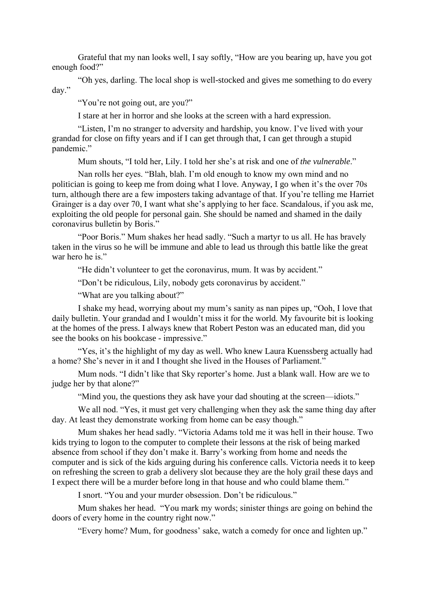Grateful that my nan looks well, I say softly, "How are you bearing up, have you got enough food?"

"Oh yes, darling. The local shop is well-stocked and gives me something to do every day."

"You're not going out, are you?"

I stare at her in horror and she looks at the screen with a hard expression.

"Listen, I'm no stranger to adversity and hardship, you know. I've lived with your grandad for close on fifty years and if I can get through that, I can get through a stupid pandemic."

Mum shouts, "I told her, Lily. I told her she's at risk and one of *the vulnerable*."

Nan rolls her eyes. "Blah, blah. I'm old enough to know my own mind and no politician is going to keep me from doing what I love. Anyway, I go when it's the over 70s turn, although there are a few imposters taking advantage of that. If you're telling me Harriet Grainger is a day over 70, I want what she's applying to her face. Scandalous, if you ask me, exploiting the old people for personal gain. She should be named and shamed in the daily coronavirus bulletin by Boris."

"Poor Boris." Mum shakes her head sadly. "Such a martyr to us all. He has bravely taken in the virus so he will be immune and able to lead us through this battle like the great war hero he is."

"He didn't volunteer to get the coronavirus, mum. It was by accident."

"Don't be ridiculous, Lily, nobody gets coronavirus by accident."

"What are you talking about?"

I shake my head, worrying about my mum's sanity as nan pipes up, "Ooh, I love that daily bulletin. Your grandad and I wouldn't miss it for the world. My favourite bit is looking at the homes of the press. I always knew that Robert Peston was an educated man, did you see the books on his bookcase - impressive."

"Yes, it's the highlight of my day as well. Who knew Laura Kuenssberg actually had a home? She's never in it and I thought she lived in the Houses of Parliament."

Mum nods. "I didn't like that Sky reporter's home. Just a blank wall. How are we to judge her by that alone?"

"Mind you, the questions they ask have your dad shouting at the screen—idiots."

We all nod. "Yes, it must get very challenging when they ask the same thing day after day. At least they demonstrate working from home can be easy though."

Mum shakes her head sadly. "Victoria Adams told me it was hell in their house. Two kids trying to logon to the computer to complete their lessons at the risk of being marked absence from school if they don't make it. Barry's working from home and needs the computer and is sick of the kids arguing during his conference calls. Victoria needs it to keep on refreshing the screen to grab a delivery slot because they are the holy grail these days and I expect there will be a murder before long in that house and who could blame them."

I snort. "You and your murder obsession. Don't be ridiculous."

Mum shakes her head. "You mark my words; sinister things are going on behind the doors of every home in the country right now."

"Every home? Mum, for goodness' sake, watch a comedy for once and lighten up."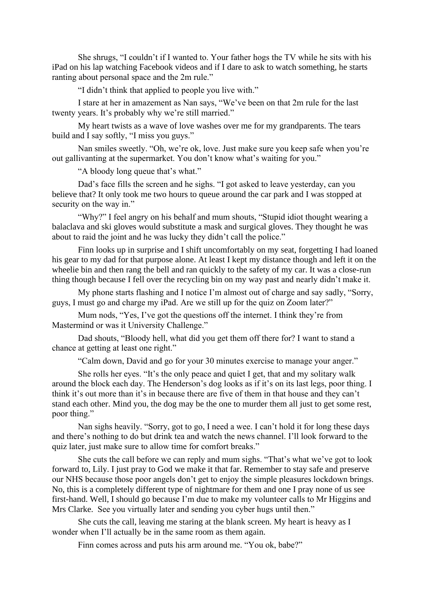She shrugs, "I couldn't if I wanted to. Your father hogs the TV while he sits with his iPad on his lap watching Facebook videos and if I dare to ask to watch something, he starts ranting about personal space and the 2m rule."

"I didn't think that applied to people you live with."

I stare at her in amazement as Nan says, "We've been on that 2m rule for the last twenty years. It's probably why we're still married."

My heart twists as a wave of love washes over me for my grandparents. The tears build and I say softly, "I miss you guys."

Nan smiles sweetly. "Oh, we're ok, love. Just make sure you keep safe when you're out gallivanting at the supermarket. You don't know what's waiting for you."

"A bloody long queue that's what."

Dad's face fills the screen and he sighs. "I got asked to leave yesterday, can you believe that? It only took me two hours to queue around the car park and I was stopped at security on the way in."

"Why?" I feel angry on his behalf and mum shouts, "Stupid idiot thought wearing a balaclava and ski gloves would substitute a mask and surgical gloves. They thought he was about to raid the joint and he was lucky they didn't call the police."

Finn looks up in surprise and I shift uncomfortably on my seat, forgetting I had loaned his gear to my dad for that purpose alone. At least I kept my distance though and left it on the wheelie bin and then rang the bell and ran quickly to the safety of my car. It was a close-run thing though because I fell over the recycling bin on my way past and nearly didn't make it.

My phone starts flashing and I notice I'm almost out of charge and say sadly, "Sorry, guys, I must go and charge my iPad. Are we still up for the quiz on Zoom later?"

Mum nods, "Yes, I've got the questions off the internet. I think they're from Mastermind or was it University Challenge."

Dad shouts, "Bloody hell, what did you get them off there for? I want to stand a chance at getting at least one right."

"Calm down, David and go for your 30 minutes exercise to manage your anger."

She rolls her eyes. "It's the only peace and quiet I get, that and my solitary walk around the block each day. The Henderson's dog looks as if it's on its last legs, poor thing. I think it's out more than it's in because there are five of them in that house and they can't stand each other. Mind you, the dog may be the one to murder them all just to get some rest, poor thing."

Nan sighs heavily. "Sorry, got to go, I need a wee. I can't hold it for long these days and there's nothing to do but drink tea and watch the news channel. I'll look forward to the quiz later, just make sure to allow time for comfort breaks."

She cuts the call before we can reply and mum sighs. "That's what we've got to look forward to, Lily. I just pray to God we make it that far. Remember to stay safe and preserve our NHS because those poor angels don't get to enjoy the simple pleasures lockdown brings. No, this is a completely different type of nightmare for them and one I pray none of us see first-hand. Well, I should go because I'm due to make my volunteer calls to Mr Higgins and Mrs Clarke. See you virtually later and sending you cyber hugs until then."

She cuts the call, leaving me staring at the blank screen. My heart is heavy as I wonder when I'll actually be in the same room as them again.

Finn comes across and puts his arm around me. "You ok, babe?"